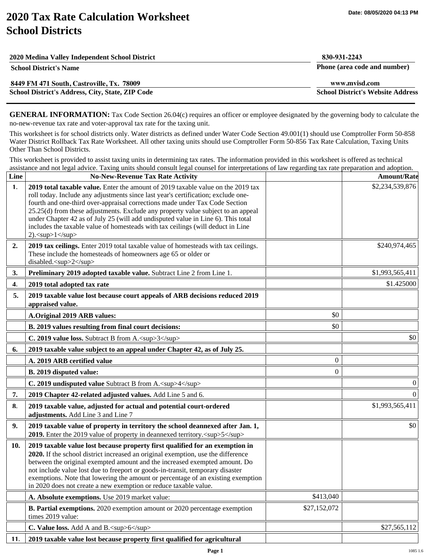## **2020 Tax Rate Calculation Worksheet School Districts**

| 2020 Medina Valley Independent School District   | 830-931-2243                             |
|--------------------------------------------------|------------------------------------------|
| <b>School District's Name</b>                    | Phone (area code and number)             |
| 8449 FM 471 South, Castroville, Tx. 78009        | www.mvisd.com                            |
| School District's Address, City, State, ZIP Code | <b>School District's Website Address</b> |

**GENERAL INFORMATION:** Tax Code Section 26.04(c) requires an officer or employee designated by the governing body to calculate the no-new-revenue tax rate and voter-approval tax rate for the taxing unit.

This worksheet is for school districts only. Water districts as defined under Water Code Section 49.001(1) should use Comptroller Form 50-858 Water District Rollback Tax Rate Worksheet. All other taxing units should use Comptroller Form 50-856 Tax Rate Calculation, Taxing Units Other Than School Districts.

This worksheet is provided to assist taxing units in determining tax rates. The information provided in this worksheet is offered as technical assistance and not legal advice. Taxing units should consult legal counsel for interpretations of law regarding tax rate preparation and adoption.

| Line | <b>No-New-Revenue Tax Rate Activity</b>                                                                                                                                                                                                                                                                                                                                                                                                                                                                                    |                  | <b>Amount/Rate</b> |
|------|----------------------------------------------------------------------------------------------------------------------------------------------------------------------------------------------------------------------------------------------------------------------------------------------------------------------------------------------------------------------------------------------------------------------------------------------------------------------------------------------------------------------------|------------------|--------------------|
| 1.   | 2019 total taxable value. Enter the amount of 2019 taxable value on the 2019 tax<br>roll today. Include any adjustments since last year's certification; exclude one-<br>fourth and one-third over-appraisal corrections made under Tax Code Section<br>25.25(d) from these adjustments. Exclude any property value subject to an appeal<br>under Chapter 42 as of July 25 (will add undisputed value in Line 6). This total<br>includes the taxable value of homesteads with tax ceilings (will deduct in Line<br>2). $2$ |                  | \$2,234,539,876    |
| 2.   | 2019 tax ceilings. Enter 2019 total taxable value of homesteads with tax ceilings.<br>These include the homesteads of homeowners age 65 or older or<br>disabled. <sup>2</sup>                                                                                                                                                                                                                                                                                                                                              |                  | \$240,974,465      |
| 3.   | Preliminary 2019 adopted taxable value. Subtract Line 2 from Line 1.                                                                                                                                                                                                                                                                                                                                                                                                                                                       |                  | \$1,993,565,411    |
| 4.   | 2019 total adopted tax rate                                                                                                                                                                                                                                                                                                                                                                                                                                                                                                |                  | \$1.425000         |
| 5.   | 2019 taxable value lost because court appeals of ARB decisions reduced 2019<br>appraised value.                                                                                                                                                                                                                                                                                                                                                                                                                            |                  |                    |
|      | A.Original 2019 ARB values:                                                                                                                                                                                                                                                                                                                                                                                                                                                                                                | \$0              |                    |
|      | B. 2019 values resulting from final court decisions:                                                                                                                                                                                                                                                                                                                                                                                                                                                                       | \$0              |                    |
|      | C. 2019 value loss. Subtract B from A. <sup>3</sup>                                                                                                                                                                                                                                                                                                                                                                                                                                                                        |                  | \$0                |
| 6.   | 2019 taxable value subject to an appeal under Chapter 42, as of July 25.                                                                                                                                                                                                                                                                                                                                                                                                                                                   |                  |                    |
|      | A. 2019 ARB certified value                                                                                                                                                                                                                                                                                                                                                                                                                                                                                                | $\boldsymbol{0}$ |                    |
|      | B. 2019 disputed value:                                                                                                                                                                                                                                                                                                                                                                                                                                                                                                    | $\overline{0}$   |                    |
|      | C. 2019 undisputed value Subtract B from A. <sup>4</sup>                                                                                                                                                                                                                                                                                                                                                                                                                                                                   |                  | 0                  |
| 7.   | 2019 Chapter 42-related adjusted values. Add Line 5 and 6.                                                                                                                                                                                                                                                                                                                                                                                                                                                                 |                  | $\theta$           |
| 8.   | 2019 taxable value, adjusted for actual and potential court-ordered<br>adjustments. Add Line 3 and Line 7                                                                                                                                                                                                                                                                                                                                                                                                                  |                  | \$1,993,565,411    |
| 9.   | 2019 taxable value of property in territory the school deannexed after Jan. 1,<br>2019. Enter the 2019 value of property in deannexed territory. <sup>5</sup>                                                                                                                                                                                                                                                                                                                                                              |                  | \$0                |
| 10.  | 2019 taxable value lost because property first qualified for an exemption in<br>2020. If the school district increased an original exemption, use the difference<br>between the original exempted amount and the increased exempted amount. Do<br>not include value lost due to freeport or goods-in-transit, temporary disaster<br>exemptions. Note that lowering the amount or percentage of an existing exemption<br>in 2020 does not create a new exemption or reduce taxable value.                                   |                  |                    |
|      | A. Absolute exemptions. Use 2019 market value:                                                                                                                                                                                                                                                                                                                                                                                                                                                                             | \$413,040        |                    |
|      | B. Partial exemptions. 2020 exemption amount or 2020 percentage exemption<br>times 2019 value:                                                                                                                                                                                                                                                                                                                                                                                                                             | \$27,152,072     |                    |
|      | C. Value loss. Add A and B. <sup>6</sup>                                                                                                                                                                                                                                                                                                                                                                                                                                                                                   |                  | \$27,565,112       |
| 11.  | 2019 taxable value lost because property first qualified for agricultural                                                                                                                                                                                                                                                                                                                                                                                                                                                  |                  |                    |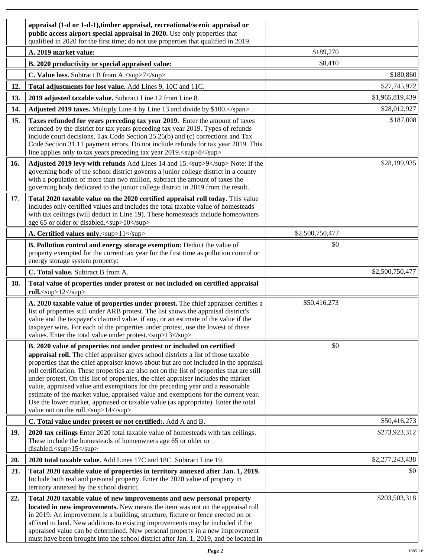|     | appraisal (1-d or 1-d-1), timber appraisal, recreational/scenic appraisal or<br>public access airport special appraisal in 2020. Use only properties that<br>qualified in 2020 for the first time; do not use properties that qualified in 2019.                                                                                                                                                                                                                                                                                                                                                                                                                                                                                               |                 |                 |
|-----|------------------------------------------------------------------------------------------------------------------------------------------------------------------------------------------------------------------------------------------------------------------------------------------------------------------------------------------------------------------------------------------------------------------------------------------------------------------------------------------------------------------------------------------------------------------------------------------------------------------------------------------------------------------------------------------------------------------------------------------------|-----------------|-----------------|
|     | A. 2019 market value:                                                                                                                                                                                                                                                                                                                                                                                                                                                                                                                                                                                                                                                                                                                          | \$189,270       |                 |
|     | B. 2020 productivity or special appraised value:                                                                                                                                                                                                                                                                                                                                                                                                                                                                                                                                                                                                                                                                                               | \$8,410         |                 |
|     | C. Value loss. Subtract B from A. <sup>7</sup>                                                                                                                                                                                                                                                                                                                                                                                                                                                                                                                                                                                                                                                                                                 |                 | \$180,860       |
| 12. | Total adjustments for lost value. Add Lines 9, 10C and 11C.                                                                                                                                                                                                                                                                                                                                                                                                                                                                                                                                                                                                                                                                                    |                 | \$27,745,972    |
| 13. | 2019 adjusted taxable value. Subtract Line 12 from Line 8.                                                                                                                                                                                                                                                                                                                                                                                                                                                                                                                                                                                                                                                                                     |                 | \$1,965,819,439 |
| 14. | Adjusted 2019 taxes. Multiply Line 4 by Line 13 and divide by \$100.                                                                                                                                                                                                                                                                                                                                                                                                                                                                                                                                                                                                                                                                           |                 | \$28,012,927    |
| 15. | Taxes refunded for years preceding tax year 2019. Enter the amount of taxes<br>refunded by the district for tax years preceding tax year 2019. Types of refunds<br>include court decisions, Tax Code Section 25.25(b) and (c) corrections and Tax<br>Code Section 31.11 payment errors. Do not include refunds for tax year 2019. This<br>line applies only to tax years preceding tax year 2019. <sup>8</sup>                                                                                                                                                                                                                                                                                                                                 |                 | \$187,008       |
| 16. | Adjusted 2019 levy with refunds Add Lines 14 and 15. <sup>9</sup> Note: If the<br>governing body of the school district governs a junior college district in a county<br>with a population of more than two million, subtract the amount of taxes the<br>governing body dedicated to the junior college district in 2019 from the result.                                                                                                                                                                                                                                                                                                                                                                                                      |                 | \$28,199,935    |
| 17. | Total 2020 taxable value on the 2020 certified appraisal roll today. This value<br>includes only certified values and includes the total taxable value of homesteads<br>with tax ceilings (will deduct in Line 19). These homesteads include homeowners<br>age 65 or older or disabled. <sup>10</sup>                                                                                                                                                                                                                                                                                                                                                                                                                                          |                 |                 |
|     | A. Certified values only. <sup>11</sup>                                                                                                                                                                                                                                                                                                                                                                                                                                                                                                                                                                                                                                                                                                        | \$2,500,750,477 |                 |
|     | B. Pollution control and energy storage exemption: Deduct the value of<br>property exempted for the current tax year for the first time as pollution control or<br>energy storage system property:                                                                                                                                                                                                                                                                                                                                                                                                                                                                                                                                             | \$0             |                 |
|     | C. Total value. Subtract B from A.                                                                                                                                                                                                                                                                                                                                                                                                                                                                                                                                                                                                                                                                                                             |                 | \$2,500,750,477 |
| 18. | Total value of properties under protest or not included on certified appraisal<br>roll. <sup>12</sup>                                                                                                                                                                                                                                                                                                                                                                                                                                                                                                                                                                                                                                          |                 |                 |
|     | A. 2020 taxable value of properties under protest. The chief appraiser certifies a<br>list of properties still under ARB protest. The list shows the appraisal district's<br>value and the taxpayer's claimed value, if any, or an estimate of the value if the<br>taxpayer wins. For each of the properties under protest, use the lowest of these<br>values. Enter the total value under protest. <sup>13</sup>                                                                                                                                                                                                                                                                                                                              | \$50,416,273    |                 |
|     | B. 2020 value of properties not under protest or included on certified<br>appraisal roll. The chief appraiser gives school districts a list of those taxable<br>properties that the chief appraiser knows about but are not included in the appraisal<br>roll certification. These properties are also not on the list of properties that are still<br>under protest. On this list of properties, the chief appraiser includes the market<br>value, appraised value and exemptions for the preceding year and a reasonable<br>estimate of the market value, appraised value and exemptions for the current year.<br>Use the lower market, appraised or taxable value (as appropriate). Enter the total<br>value not on the roll. <sup>14</sup> | \$0             |                 |
|     | C. Total value under protest or not certified:. Add A and B.                                                                                                                                                                                                                                                                                                                                                                                                                                                                                                                                                                                                                                                                                   |                 | \$50,416,273    |
| 19. | 2020 tax ceilings Enter 2020 total taxable value of homesteads with tax ceilings.<br>These include the homesteads of homeowners age 65 or older or<br>disabled. <sup>15</sup>                                                                                                                                                                                                                                                                                                                                                                                                                                                                                                                                                                  |                 | \$273,923,312   |
| 20. | 2020 total taxable value. Add Lines 17C and 18C. Subtract Line 19.                                                                                                                                                                                                                                                                                                                                                                                                                                                                                                                                                                                                                                                                             |                 | \$2,277,243,438 |
| 21. | Total 2020 taxable value of properties in territory annexed after Jan. 1, 2019.<br>Include both real and personal property. Enter the 2020 value of property in<br>territory annexed by the school district.                                                                                                                                                                                                                                                                                                                                                                                                                                                                                                                                   |                 | \$0             |
| 22. | Total 2020 taxable value of new improvements and new personal property<br>located in new improvements. New means the item was not on the appraisal roll<br>in 2019. An improvement is a building, structure, fixture or fence erected on or<br>affixed to land. New additions to existing improvements may be included if the<br>appraised value can be determined. New personal property in a new improvement<br>must have been brought into the school district after Jan. 1, 2019, and be located in                                                                                                                                                                                                                                        |                 | \$203,503,318   |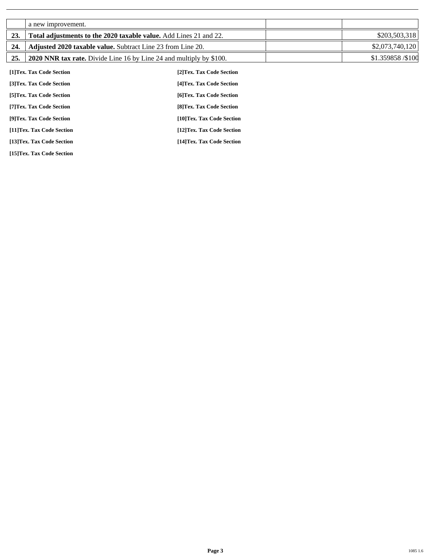|     | a new improvement.                                                         |                            |                   |
|-----|----------------------------------------------------------------------------|----------------------------|-------------------|
| 23. | <b>Total adjustments to the 2020 taxable value.</b> Add Lines 21 and 22.   |                            | \$203,503,318     |
| 24. | <b>Adjusted 2020 taxable value.</b> Subtract Line 23 from Line 20.         |                            | \$2,073,740,120   |
| 25. | <b>2020 NNR tax rate.</b> Divide Line 16 by Line 24 and multiply by \$100. |                            | \$1.359858 /\$100 |
|     | [1]Tex. Tax Code Section                                                   | [2] Tex. Tax Code Section  |                   |
|     | [3]Tex. Tax Code Section                                                   | [4] Tex. Tax Code Section  |                   |
|     | [5] Tex. Tax Code Section                                                  | [6] Tex. Tax Code Section  |                   |
|     | [7] Tex. Tax Code Section                                                  | [8] Tex. Tax Code Section  |                   |
|     | [9]Tex. Tax Code Section                                                   | [10]Tex. Tax Code Section  |                   |
|     | [11]Tex. Tax Code Section                                                  | [12] Tex. Tax Code Section |                   |

**[13]Tex. Tax Code Section [14]Tex. Tax Code Section** 

**[15]Tex. Tax Code Section**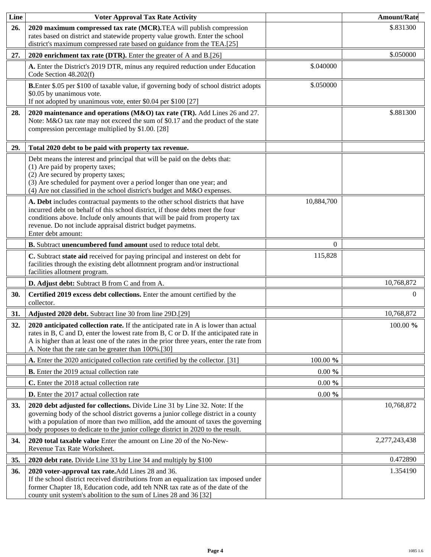| Line       | <b>Voter Approval Tax Rate Activity</b>                                                                                                                                                                                                                                                                                                    |            | <b>Amount/Rate</b> |
|------------|--------------------------------------------------------------------------------------------------------------------------------------------------------------------------------------------------------------------------------------------------------------------------------------------------------------------------------------------|------------|--------------------|
| 26.        | 2020 maximum compressed tax rate (MCR). TEA will publish compression<br>rates based on district and statewide property value growth. Enter the school<br>district's maximum compressed rate based on guidance from the TEA.[25]                                                                                                            |            | \$.831300          |
| 27.        | 2020 enrichment tax rate (DTR). Enter the greater of A and B.[26]                                                                                                                                                                                                                                                                          |            | \$.050000          |
|            | A. Enter the District's 2019 DTR, minus any required reduction under Education<br>Code Section 48.202(f)                                                                                                                                                                                                                                   | \$.040000  |                    |
|            | <b>B.</b> Enter \$.05 per \$100 of taxable value, if governing body of school district adopts<br>\$0.05 by unanimous vote.<br>If not adopted by unanimous vote, enter \$0.04 per \$100 [27]                                                                                                                                                | \$.050000  |                    |
| 28.        | 2020 maintenance and operations (M&O) tax rate (TR). Add Lines 26 and 27.<br>Note: M&O tax rate may not exceed the sum of \$0.17 and the product of the state<br>compression percentage multiplied by \$1.00. [28]                                                                                                                         |            | \$.881300          |
| 29.        | Total 2020 debt to be paid with property tax revenue.                                                                                                                                                                                                                                                                                      |            |                    |
|            | Debt means the interest and principal that will be paid on the debts that:<br>(1) Are paid by property taxes;<br>(2) Are secured by property taxes;<br>(3) Are scheduled for payment over a period longer than one year; and<br>(4) Are not classified in the school district's budget and M&O expenses.                                   |            |                    |
|            | A. Debt includes contractual payments to the other school districts that have<br>incurred debt on behalf of this school district, if those debts meet the four<br>conditions above. Include only amounts that will be paid from property tax<br>revenue. Do not include appraisal district budget paymetns.<br>Enter debt amount:          | 10,884,700 |                    |
|            | B. Subtract unencumbered fund amount used to reduce total debt.                                                                                                                                                                                                                                                                            | $\Omega$   |                    |
|            | C. Subtract state aid received for paying principal and insterest on debt for<br>facilities through the existing debt allotmnent program and/or instructional<br>facilities allotment program.                                                                                                                                             | 115,828    |                    |
|            | D. Adjust debt: Subtract B from C and from A.                                                                                                                                                                                                                                                                                              |            | 10,768,872         |
| 30.        | Certified 2019 excess debt collections. Enter the amount certified by the<br>collector.                                                                                                                                                                                                                                                    |            | $\Omega$           |
| 31.        | Adjusted 2020 debt. Subtract line 30 from line 29D.[29]                                                                                                                                                                                                                                                                                    |            | 10,768,872         |
| 32.        | 2020 anticipated collection rate. If the anticipated rate in A is lower than actual<br>rates in B, C and D, enter the lowest rate from B, C or D. If the anticipated rate in<br>A is higher than at least one of the rates in the prior three years, enter the rate from<br>A. Note that the rate can be greater than 100%.[30]            |            | 100.00 %           |
|            | A. Enter the 2020 anticipated collection rate certified by the collector. [31]                                                                                                                                                                                                                                                             | 100.00 %   |                    |
|            | <b>B.</b> Enter the 2019 actual collection rate                                                                                                                                                                                                                                                                                            | $0.00 \%$  |                    |
|            | C. Enter the 2018 actual collection rate                                                                                                                                                                                                                                                                                                   | $0.00 \%$  |                    |
|            | <b>D.</b> Enter the 2017 actual collection rate                                                                                                                                                                                                                                                                                            | $0.00 \%$  |                    |
| <b>33.</b> | 2020 debt adjusted for collections. Divide Line 31 by Line 32. Note: If the<br>governing body of the school district governs a junior college district in a county<br>with a population of more than two million, add the amount of taxes the governing<br>body proposes to dedicate to the junior college district in 2020 to the result. |            | 10,768,872         |
| 34.        | 2020 total taxable value Enter the amount on Line 20 of the No-New-<br>Revenue Tax Rate Worksheet.                                                                                                                                                                                                                                         |            | 2,277,243,438      |
| 35.        | 2020 debt rate. Divide Line 33 by Line 34 and multiply by \$100                                                                                                                                                                                                                                                                            |            | 0.472890           |
| 36.        | 2020 voter-approval tax rate. Add Lines 28 and 36.<br>If the school district received distributions from an equalization tax imposed under<br>former Chapter 18, Education code, add teh NNR tax rate as of the date of the<br>county unit system's abolition to the sum of Lines 28 and 36 [32]                                           |            | 1.354190           |